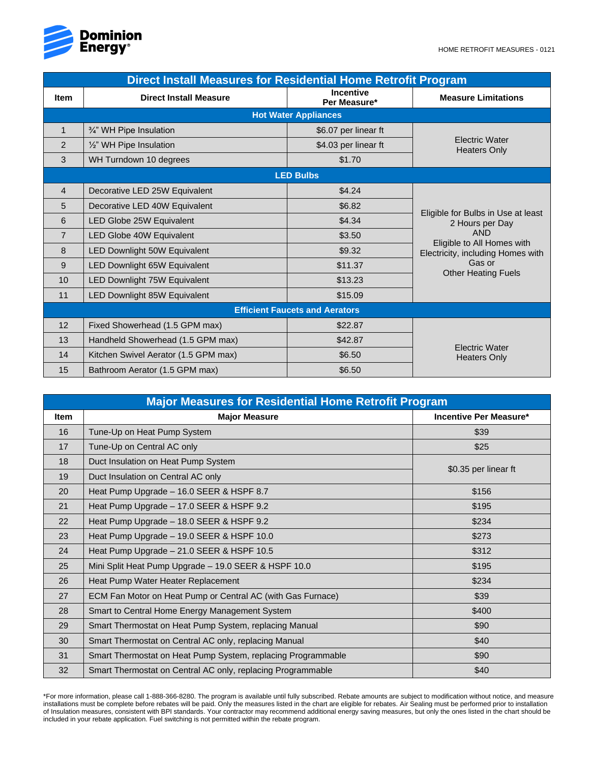

| <b>Direct Install Measures for Residential Home Retrofit Program</b> |                                      |                                  |                                                                                                                                                  |  |  |  |  |
|----------------------------------------------------------------------|--------------------------------------|----------------------------------|--------------------------------------------------------------------------------------------------------------------------------------------------|--|--|--|--|
| <b>Item</b>                                                          | <b>Direct Install Measure</b>        | <b>Incentive</b><br>Per Measure* | <b>Measure Limitations</b>                                                                                                                       |  |  |  |  |
| <b>Hot Water Appliances</b>                                          |                                      |                                  |                                                                                                                                                  |  |  |  |  |
| 1                                                                    | 3/4" WH Pipe Insulation              | \$6.07 per linear ft             | <b>Electric Water</b><br><b>Heaters Only</b>                                                                                                     |  |  |  |  |
| $\overline{2}$                                                       | 1/2" WH Pipe Insulation              | \$4.03 per linear ft             |                                                                                                                                                  |  |  |  |  |
| 3                                                                    | WH Turndown 10 degrees               | \$1.70                           |                                                                                                                                                  |  |  |  |  |
| <b>LED Bulbs</b>                                                     |                                      |                                  |                                                                                                                                                  |  |  |  |  |
| 4                                                                    | Decorative LED 25W Equivalent        | \$4.24                           |                                                                                                                                                  |  |  |  |  |
| 5                                                                    | Decorative LED 40W Equivalent        | \$6.82                           |                                                                                                                                                  |  |  |  |  |
| 6                                                                    | LED Globe 25W Equivalent             | \$4.34                           | Eligible for Bulbs in Use at least<br>2 Hours per Day<br><b>AND</b><br>Eligible to All Homes with<br>Electricity, including Homes with<br>Gas or |  |  |  |  |
| $\overline{7}$                                                       | LED Globe 40W Equivalent             | \$3.50                           |                                                                                                                                                  |  |  |  |  |
| 8                                                                    | LED Downlight 50W Equivalent         | \$9.32                           |                                                                                                                                                  |  |  |  |  |
| 9                                                                    | LED Downlight 65W Equivalent         | \$11.37                          |                                                                                                                                                  |  |  |  |  |
| 10                                                                   | LED Downlight 75W Equivalent         | \$13.23                          | <b>Other Heating Fuels</b>                                                                                                                       |  |  |  |  |
| 11                                                                   | LED Downlight 85W Equivalent         | \$15.09                          |                                                                                                                                                  |  |  |  |  |
| <b>Efficient Faucets and Aerators</b>                                |                                      |                                  |                                                                                                                                                  |  |  |  |  |
| 12                                                                   | Fixed Showerhead (1.5 GPM max)       | \$22.87                          | <b>Electric Water</b><br><b>Heaters Only</b>                                                                                                     |  |  |  |  |
| 13                                                                   | Handheld Showerhead (1.5 GPM max)    | \$42.87                          |                                                                                                                                                  |  |  |  |  |
| 14                                                                   | Kitchen Swivel Aerator (1.5 GPM max) | \$6.50                           |                                                                                                                                                  |  |  |  |  |
| 15                                                                   | Bathroom Aerator (1.5 GPM max)       | \$6.50                           |                                                                                                                                                  |  |  |  |  |

| <b>Major Measures for Residential Home Retrofit Program</b> |                                                              |                               |  |  |  |
|-------------------------------------------------------------|--------------------------------------------------------------|-------------------------------|--|--|--|
| <b>Item</b>                                                 | <b>Major Measure</b>                                         | <b>Incentive Per Measure*</b> |  |  |  |
| 16                                                          | Tune-Up on Heat Pump System                                  | \$39                          |  |  |  |
| 17                                                          | Tune-Up on Central AC only                                   | \$25                          |  |  |  |
| 18                                                          | Duct Insulation on Heat Pump System                          | \$0.35 per linear ft          |  |  |  |
| 19                                                          | Duct Insulation on Central AC only                           |                               |  |  |  |
| 20                                                          | Heat Pump Upgrade - 16.0 SEER & HSPF 8.7                     | \$156                         |  |  |  |
| 21                                                          | Heat Pump Upgrade - 17.0 SEER & HSPF 9.2                     | \$195                         |  |  |  |
| 22                                                          | Heat Pump Upgrade - 18.0 SEER & HSPF 9.2                     | \$234                         |  |  |  |
| 23                                                          | Heat Pump Upgrade - 19.0 SEER & HSPF 10.0                    | \$273                         |  |  |  |
| 24                                                          | Heat Pump Upgrade - 21.0 SEER & HSPF 10.5                    | \$312                         |  |  |  |
| 25                                                          | Mini Split Heat Pump Upgrade - 19.0 SEER & HSPF 10.0         | \$195                         |  |  |  |
| 26                                                          | Heat Pump Water Heater Replacement                           | \$234                         |  |  |  |
| 27                                                          | ECM Fan Motor on Heat Pump or Central AC (with Gas Furnace)  | \$39                          |  |  |  |
| 28                                                          | Smart to Central Home Energy Management System               | \$400                         |  |  |  |
| 29                                                          | Smart Thermostat on Heat Pump System, replacing Manual       | \$90                          |  |  |  |
| 30                                                          | Smart Thermostat on Central AC only, replacing Manual        | \$40                          |  |  |  |
| 31                                                          | Smart Thermostat on Heat Pump System, replacing Programmable | \$90                          |  |  |  |
| 32                                                          | Smart Thermostat on Central AC only, replacing Programmable  | \$40                          |  |  |  |

\*For more information, please call 1-888-366-8280. The program is available until fully subscribed. Rebate amounts are subject to modification without notice, and measure installations must be complete before rebates will be paid. Only the measures listed in the chart are eligible for rebates. Air Sealing must be performed prior to installation of Insulation measures, consistent with BPI standards. Your contractor may recommend additional energy saving measures, but only the ones listed in the chart should be included in your rebate application. Fuel switching is not permitted within the rebate program.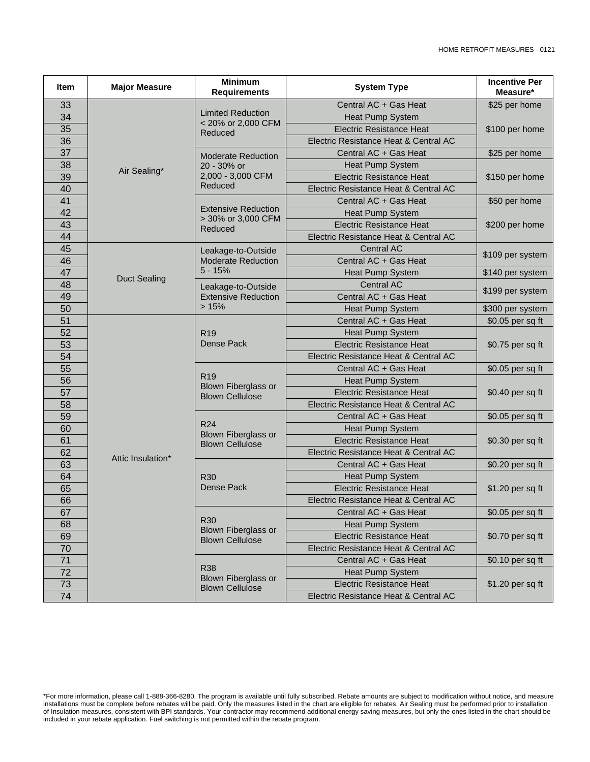| Item | <b>Major Measure</b> | <b>Minimum</b><br><b>Requirements</b>                                    | <b>System Type</b>                                  | <b>Incentive Per</b><br>Measure* |  |
|------|----------------------|--------------------------------------------------------------------------|-----------------------------------------------------|----------------------------------|--|
| 33   |                      |                                                                          | Central AC + Gas Heat                               | \$25 per home                    |  |
| 34   |                      | <b>Limited Reduction</b>                                                 | Heat Pump System                                    | \$100 per home                   |  |
| 35   |                      | < 20% or 2,000 CFM<br>Reduced                                            | <b>Electric Resistance Heat</b>                     |                                  |  |
| 36   |                      |                                                                          | Electric Resistance Heat & Central AC               |                                  |  |
| 37   |                      | <b>Moderate Reduction</b><br>20 - 30% or<br>2,000 - 3,000 CFM<br>Reduced | Central AC + Gas Heat                               | \$25 per home                    |  |
| 38   | Air Sealing*         |                                                                          | Heat Pump System                                    | \$150 per home                   |  |
| 39   |                      |                                                                          | <b>Electric Resistance Heat</b>                     |                                  |  |
| 40   |                      |                                                                          | Electric Resistance Heat & Central AC               |                                  |  |
| 41   |                      | <b>Extensive Reduction</b><br>> 30% or 3,000 CFM<br>Reduced              | Central AC + Gas Heat                               | \$50 per home                    |  |
| 42   |                      |                                                                          | Heat Pump System                                    | \$200 per home                   |  |
| 43   |                      |                                                                          | <b>Electric Resistance Heat</b>                     |                                  |  |
| 44   |                      |                                                                          | Electric Resistance Heat & Central AC               |                                  |  |
| 45   |                      | Leakage-to-Outside                                                       | <b>Central AC</b>                                   | \$109 per system                 |  |
| 46   |                      | <b>Moderate Reduction</b>                                                | Central AC + Gas Heat                               |                                  |  |
| 47   | <b>Duct Sealing</b>  | $5 - 15%$                                                                | Heat Pump System                                    | \$140 per system                 |  |
| 48   |                      | Leakage-to-Outside                                                       | <b>Central AC</b>                                   | \$199 per system                 |  |
| 49   |                      | <b>Extensive Reduction</b>                                               | Central AC + Gas Heat                               |                                  |  |
| 50   |                      | >15%                                                                     | <b>Heat Pump System</b>                             | \$300 per system                 |  |
| 51   |                      |                                                                          | Central AC + Gas Heat                               | \$0.05 per sq ft                 |  |
| 52   |                      | R <sub>19</sub>                                                          | <b>Heat Pump System</b>                             |                                  |  |
| 53   |                      | <b>Dense Pack</b>                                                        | <b>Electric Resistance Heat</b>                     | \$0.75 per sq ft                 |  |
| 54   |                      |                                                                          | Electric Resistance Heat & Central AC               |                                  |  |
| 55   |                      |                                                                          | Central AC + Gas Heat                               | \$0.05 per sq ft                 |  |
| 56   |                      | R <sub>19</sub><br><b>Blown Fiberglass or</b><br><b>Blown Cellulose</b>  | Heat Pump System                                    | \$0.40 per sq ft                 |  |
| 57   |                      |                                                                          | <b>Electric Resistance Heat</b>                     |                                  |  |
| 58   |                      |                                                                          | Electric Resistance Heat & Central AC               |                                  |  |
| 59   |                      | R <sub>24</sub><br><b>Blown Fiberglass or</b><br><b>Blown Cellulose</b>  | Central AC + Gas Heat                               | \$0.05 per sq ft                 |  |
| 60   |                      |                                                                          | Heat Pump System                                    | \$0.30 per sq ft                 |  |
| 61   |                      |                                                                          | <b>Electric Resistance Heat</b>                     |                                  |  |
| 62   | Attic Insulation*    |                                                                          | Electric Resistance Heat & Central AC               |                                  |  |
| 63   |                      |                                                                          | Central AC + Gas Heat                               | \$0.20 per sq ft                 |  |
| 64   |                      | <b>R30</b>                                                               | Heat Pump System                                    | \$1.20 per sq ft                 |  |
| 65   |                      | Dense Pack                                                               | <b>Electric Resistance Heat</b>                     |                                  |  |
| 66   |                      |                                                                          | Electric Resistance Heat & Central AC               |                                  |  |
| 67   |                      |                                                                          | Central AC + Gas Heat                               | \$0.05 per sq ft                 |  |
| 68   |                      | <b>R30</b><br>Blown Fiberglass or<br><b>Blown Cellulose</b>              | <b>Heat Pump System</b>                             | \$0.70 per sq ft                 |  |
| 69   |                      |                                                                          | <b>Electric Resistance Heat</b>                     |                                  |  |
| 70   |                      |                                                                          | Electric Resistance Heat & Central AC               |                                  |  |
| 71   |                      |                                                                          | Central AC + Gas Heat                               | \$0.10 per sq ft                 |  |
| 72   |                      | <b>R38</b><br>Heat Pump System<br>Blown Fiberglass or                    |                                                     |                                  |  |
| 73   |                      | <b>Blown Cellulose</b>                                                   | <b>Electric Resistance Heat</b><br>\$1.20 per sq ft |                                  |  |
| 74   |                      |                                                                          | Electric Resistance Heat & Central AC               |                                  |  |

\*For more information, please call 1-888-366-8280. The program is available until fully subscribed. Rebate amounts are subject to modification without notice, and measure installations must be complete before rebates will be paid. Only the measures listed in the chart are eligible for rebates. Air Sealing must be performed prior to installation of Insulation measures, consistent with BPI standards. Your contractor may recommend additional energy saving measures, but only the ones listed in the chart should be included in your rebate application. Fuel switching is not permitted within the rebate program.